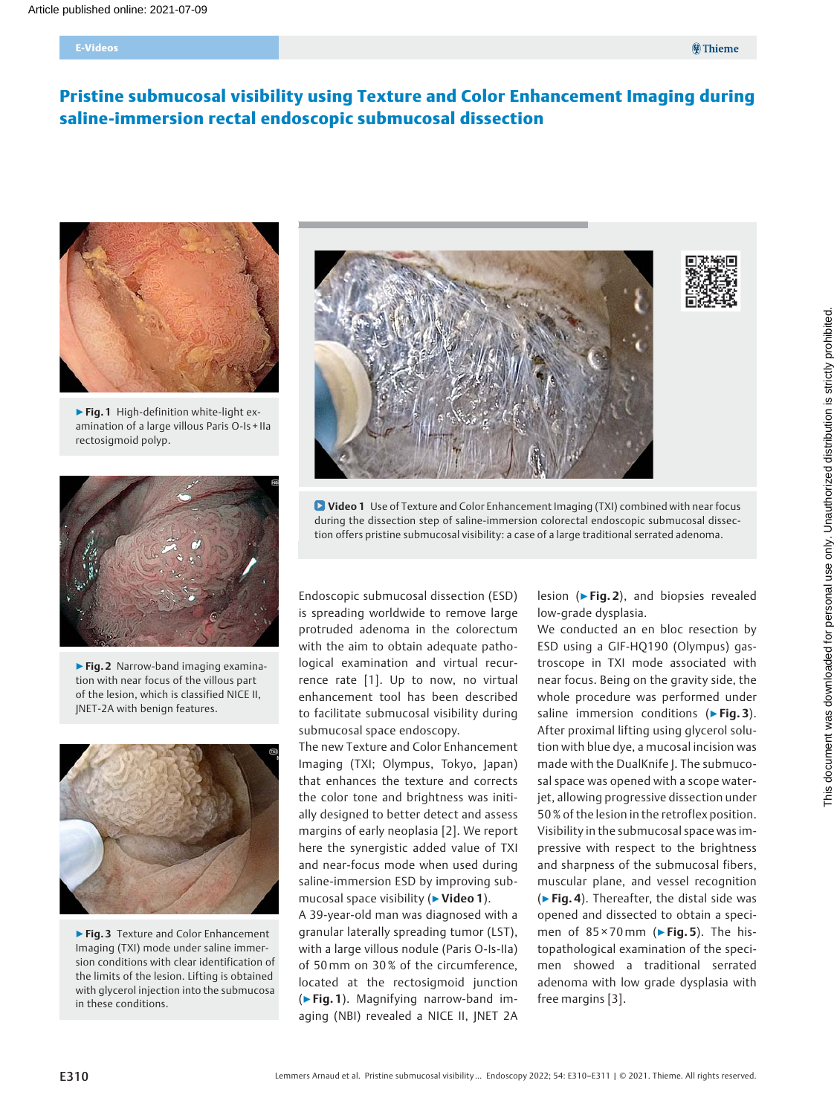#### E-Videos

# Pristine submucosal visibility using Texture and Color Enhancement Imaging during saline-immersion rectal endoscopic submucosal dissection



▶Fig. 1 High-definition white-light examination of a large villous Paris O-Is + IIa rectosigmoid polyp.



▶ Fig. 2 Narrow-band imaging examination with near focus of the villous part of the lesion, which is classified NICE II, JNET-2A with benign features.



▶ Fig. 3 Texture and Color Enhancement Imaging (TXI) mode under saline immersion conditions with clear identification of the limits of the lesion. Lifting is obtained with glycerol injection into the submucosa in these conditions.



**D** Video 1 Use of Texture and Color Enhancement Imaging (TXI) combined with near focus during the dissection step of saline-immersion colorectal endoscopic submucosal dissection offers pristine submucosal visibility: a case of a large traditional serrated adenoma.

Endoscopic submucosal dissection (ESD) is spreading worldwide to remove large protruded adenoma in the colorectum with the aim to obtain adequate pathological examination and virtual recurrence rate [1]. Up to now, no virtual enhancement tool has been described to facilitate submucosal visibility during submucosal space endoscopy.

The new Texture and Color Enhancement Imaging (TXI; Olympus, Tokyo, Japan) that enhances the texture and corrects the color tone and brightness was initially designed to better detect and assess margins of early neoplasia [2]. We report here the synergistic added value of TXI and near-focus mode when used during saline-immersion ESD by improving submucosal space visibility (▶Video 1).

A 39-year-old man was diagnosed with a granular laterally spreading tumor (LST), with a large villous nodule (Paris O-Is-IIa) of 50 mm on 30 % of the circumference, located at the rectosigmoid junction (▶Fig. 1). Magnifying narrow-band imaging (NBI) revealed a NICE II, JNET 2A

lesion (▶Fig. 2), and biopsies revealed low-grade dysplasia.

We conducted an en bloc resection by ESD using a GIF-HQ190 (Olympus) gastroscope in TXI mode associated with near focus. Being on the gravity side, the whole procedure was performed under saline immersion conditions (► Fig. 3). After proximal lifting using glycerol solution with blue dye, a mucosal incision was made with the DualKnife J. The submucosal space was opened with a scope waterjet, allowing progressive dissection under 50 % of the lesion in the retroflex position. Visibility in the submucosal space was impressive with respect to the brightness and sharpness of the submucosal fibers, muscular plane, and vessel recognition  $($  Fig. 4). Thereafter, the distal side was opened and dissected to obtain a specimen of  $85 \times 70$  mm ( $\triangleright$  Fig. 5). The histopathological examination of the specimen showed a traditional serrated adenoma with low grade dysplasia with free margins [3].